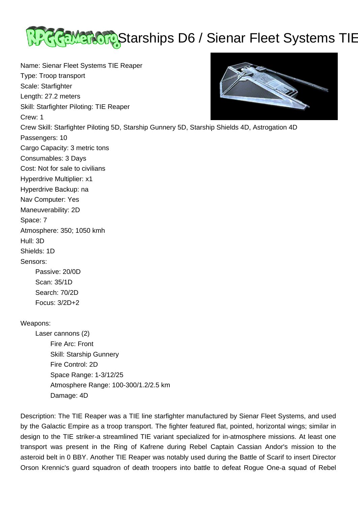

Name: Sienar Fleet Systems TIE Reaper Type: Troop transport Scale: Starfighter Length: 27.2 meters Skill: Starfighter Piloting: TIE Reaper Crew: 1 Crew Skill: Starfighter Piloting 5D, Starship Gunnery 5D, Starship Shields 4D, Astrogation 4D Passengers: 10 Cargo Capacity: 3 metric tons Consumables: 3 Days Cost: Not for sale to civilians Hyperdrive Multiplier: x1 Hyperdrive Backup: na Nav Computer: Yes Maneuverability: 2D Space: 7 Atmosphere: 350; 1050 kmh Hull: 3D Shields: 1D Sensors: Passive: 20/0D Scan: 35/1D Search: 70/2D Focus: 3/2D+2

## Weapons:

 Laser cannons (2) Fire Arc: Front Skill: Starship Gunnery Fire Control: 2D Space Range: 1-3/12/25 Atmosphere Range: 100-300/1.2/2.5 km Damage: 4D

Description: The TIE Reaper was a TIE line starfighter manufactured by Sienar Fleet Systems, and used by the Galactic Empire as a troop transport. The fighter featured flat, pointed, horizontal wings; similar in design to the TIE striker-a streamlined TIE variant specialized for in-atmosphere missions. At least one transport was present in the Ring of Kafrene during Rebel Captain Cassian Andor's mission to the asteroid belt in 0 BBY. Another TIE Reaper was notably used during the Battle of Scarif to insert Director Orson Krennic's guard squadron of death troopers into battle to defeat Rogue One-a squad of Rebel